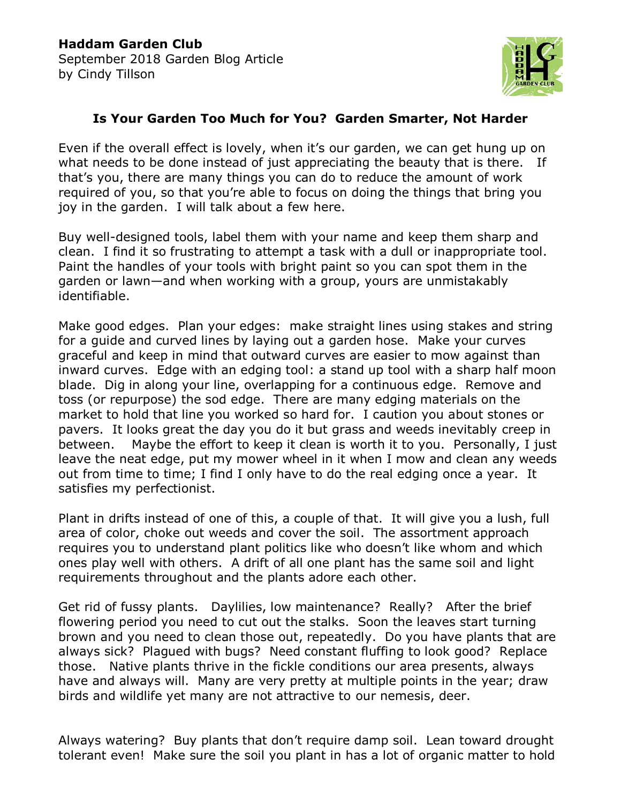

## **Is Your Garden Too Much for You? Garden Smarter, Not Harder**

Even if the overall effect is lovely, when it's our garden, we can get hung up on what needs to be done instead of just appreciating the beauty that is there. If that's you, there are many things you can do to reduce the amount of work required of you, so that you're able to focus on doing the things that bring you joy in the garden. I will talk about a few here.

Buy well-designed tools, label them with your name and keep them sharp and clean. I find it so frustrating to attempt a task with a dull or inappropriate tool. Paint the handles of your tools with bright paint so you can spot them in the garden or lawn—and when working with a group, yours are unmistakably identifiable.

Make good edges. Plan your edges: make straight lines using stakes and string for a guide and curved lines by laying out a garden hose. Make your curves graceful and keep in mind that outward curves are easier to mow against than inward curves. Edge with an edging tool: a stand up tool with a sharp half moon blade. Dig in along your line, overlapping for a continuous edge. Remove and toss (or repurpose) the sod edge. There are many edging materials on the market to hold that line you worked so hard for. I caution you about stones or pavers. It looks great the day you do it but grass and weeds inevitably creep in between. Maybe the effort to keep it clean is worth it to you. Personally, I just leave the neat edge, put my mower wheel in it when I mow and clean any weeds out from time to time; I find I only have to do the real edging once a year. It satisfies my perfectionist.

Plant in drifts instead of one of this, a couple of that. It will give you a lush, full area of color, choke out weeds and cover the soil. The assortment approach requires you to understand plant politics like who doesn't like whom and which ones play well with others. A drift of all one plant has the same soil and light requirements throughout and the plants adore each other.

Get rid of fussy plants. Daylilies, low maintenance? Really? After the brief flowering period you need to cut out the stalks. Soon the leaves start turning brown and you need to clean those out, repeatedly. Do you have plants that are always sick? Plagued with bugs? Need constant fluffing to look good? Replace those. Native plants thrive in the fickle conditions our area presents, always have and always will. Many are very pretty at multiple points in the year; draw birds and wildlife yet many are not attractive to our nemesis, deer.

Always watering? Buy plants that don't require damp soil. Lean toward drought tolerant even! Make sure the soil you plant in has a lot of organic matter to hold